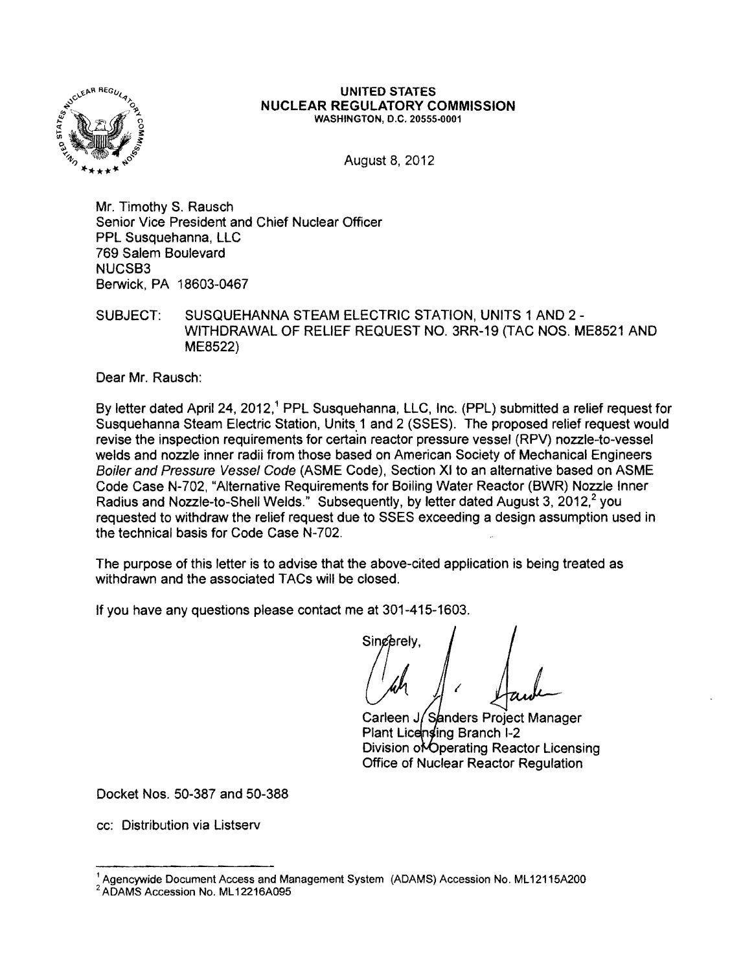

## UNITED STATES NUCLEAR REGULATORY COMMISSION WASHINGTON, D.C. 20555-0001

August 8,2012

Mr. Timothy S. Rausch Senior Vice President and Chief Nuclear Officer PPL Susquehanna, LLC 769 Salem Boulevard NUCSB3 Berwick, PA 18603-0467

SUBJECT: SUSQUEHANNA STEAM ELECTRIC STATION, UNITS 1 AND 2 -WITHDRAWAL OF RELIEF REQUEST NO. 3RR-19 (TAC NOS. ME8521 AND ME8522)

Dear Mr. Rausch:

By letter dated April 24, 2012,<sup>1</sup> PPL Susquehanna, LLC, Inc. (PPL) submitted a relief request for Susquehanna Steam Electric Station, Units 1 and 2 (SSES). The proposed relief request would revise the inspection requirements for certain reactor pressure vessel (RPV) nozzle-to-vessel welds and nozzle inner radii from those based on American Society of Mechanical Engineers Boiler and Pressure Vessel Code (ASME Code), Section XI to an alternative based on ASME Code Case N-702, "Alternative Requirements for Boiling Water Reactor (BWR) Nozzle Inner Radius and Nozzle-to-Shell Welds." Subsequently, by letter dated August 3, 2012,<sup>2</sup> you requested to withdraw the relief request due to SSES exceeding a design assumption used in the technical basis for Code Case N-702.

The purpose of this letter is to advise that the above-cited application is being treated as withdrawn and the associated TACs will be closed.

If you have any questions please contact me at 301-415-1603.

Singerely. I

Carleen J/Sanders Project Manager Plant Licensing Branch 1-2 Division of Operating Reactor Licensing Office of Nuclear Reactor Regulation

Docket Nos. 50-387 and 50-388

cc: Distribution via Listserv

<sup>&</sup>lt;sup>1</sup> Agencywide Document Access and Management System (ADAMS) Accession No. ML12115A200 <sup>2</sup> ADAMS Accession No. ML12216A095